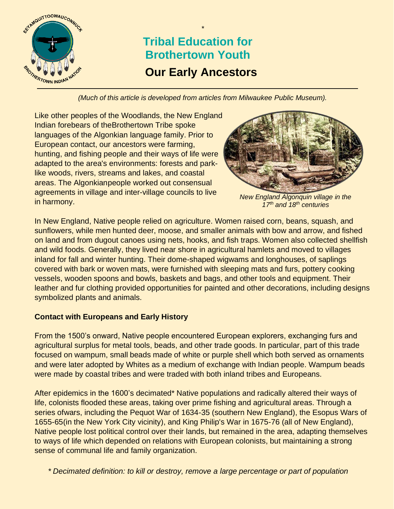

# **Our Early Ancestors Tribal Education for Brothertown Youth**

*\**

*(Much of this article is developed from articles from Milwaukee Public Museum).*

Like other peoples of the Woodlands, the New England Indian forebears of theBrothertown Tribe spoke languages of the Algonkian language family. Prior to European contact, our ancestors were farming, hunting, and fishing people and their ways of life were adapted to the area's environments: forests and parklike woods, rivers, streams and lakes, and coastal areas. The Algonkianpeople worked out consensual agreements in village and inter-village councils to live in harmony.



*New England Algonquin village in the 17th and 18th centuries*

In New England, Native people relied on agriculture. Women raised corn, beans, squash, and sunflowers, while men hunted deer, moose, and smaller animals with bow and arrow, and fished on land and from dugout canoes using nets, hooks, and fish traps. Women also collected shellfish and wild foods. Generally, they lived near shore in agricultural hamlets and moved to villages inland for fall and winter hunting. Their dome-shaped wigwams and longhouses, of saplings covered with bark or woven mats, were furnished with sleeping mats and furs, pottery cooking vessels, wooden spoons and bowls, baskets and bags, and other tools and equipment. Their leather and fur clothing provided opportunities for painted and other decorations, including designs symbolized plants and animals.

## **Contact with Europeans and Early History**

From the 1500's onward, Native people encountered European explorers, exchanging furs and agricultural surplus for metal tools, beads, and other trade goods. In particular, part of this trade focused on wampum, small beads made of white or purple shell which both served as ornaments and were later adopted by Whites as a medium of exchange with Indian people. Wampum beads were made by coastal tribes and were traded with both inland tribes and Europeans.

After epidemics in the 1600's decimated\* Native populations and radically altered their ways of life, colonists flooded these areas, taking over prime fishing and agricultural areas. Through a series ofwars, including the Pequot War of 1634-35 (southern New England), the Esopus Wars of 1655-65(in the New York City vicinity), and King Philip's War in 1675-76 (all of New England), Native people lost political control over their lands, but remained in the area, adapting themselves to ways of life which depended on relations with European colonists, but maintaining a strong sense of communal life and family organization.

1 *\* Decimated definition: to kill or destroy, remove a large percentage or part of population*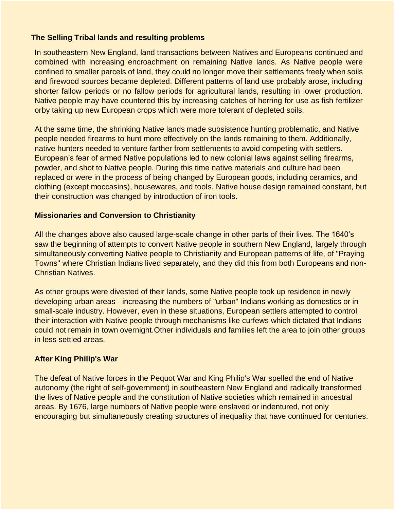#### **The Selling Tribal lands and resulting problems**

In southeastern New England, land transactions between Natives and Europeans continued and combined with increasing encroachment on remaining Native lands. As Native people were confined to smaller parcels of land, they could no longer move their settlements freely when soils and firewood sources became depleted. Different patterns of land use probably arose, including shorter fallow periods or no fallow periods for agricultural lands, resulting in lower production. Native people may have countered this by increasing catches of herring for use as fish fertilizer orby taking up new European crops which were more tolerant of depleted soils.

At the same time, the shrinking Native lands made subsistence hunting problematic, and Native people needed firearms to hunt more effectively on the lands remaining to them. Additionally, native hunters needed to venture farther from settlements to avoid competing with settlers. European's fear of armed Native populations led to new colonial laws against selling firearms, powder, and shot to Native people. During this time native materials and culture had been replaced or were in the process of being changed by European goods, including ceramics, and clothing (except moccasins), housewares, and tools. Native house design remained constant, but their construction was changed by introduction of iron tools.

#### **Missionaries and Conversion to Christianity**

All the changes above also caused large-scale change in other parts of their lives. The 1640's saw the beginning of attempts to convert Native people in southern New England, largely through simultaneously converting Native people to Christianity and European patterns of life, of "Praying Towns" where Christian Indians lived separately, and they did this from both Europeans and non-Christian Natives.

As other groups were divested of their lands, some Native people took up residence in newly developing urban areas - increasing the numbers of "urban" Indians working as domestics or in small-scale industry. However, even in these situations, European settlers attempted to control their interaction with Native people through mechanisms like curfews which dictated that Indians could not remain in town overnight.Other individuals and families left the area to join other groups in less settled areas.

### **After King Philip's War**

The defeat of Native forces in the Pequot War and King Philip's War spelled the end of Native autonomy (the right of self-government) in southeastern New England and radically transformed the lives of Native people and the constitution of Native societies which remained in ancestral areas. By 1676, large numbers of Native people were enslaved or indentured, not only encouraging but simultaneously creating structures of inequality that have continued for centuries.